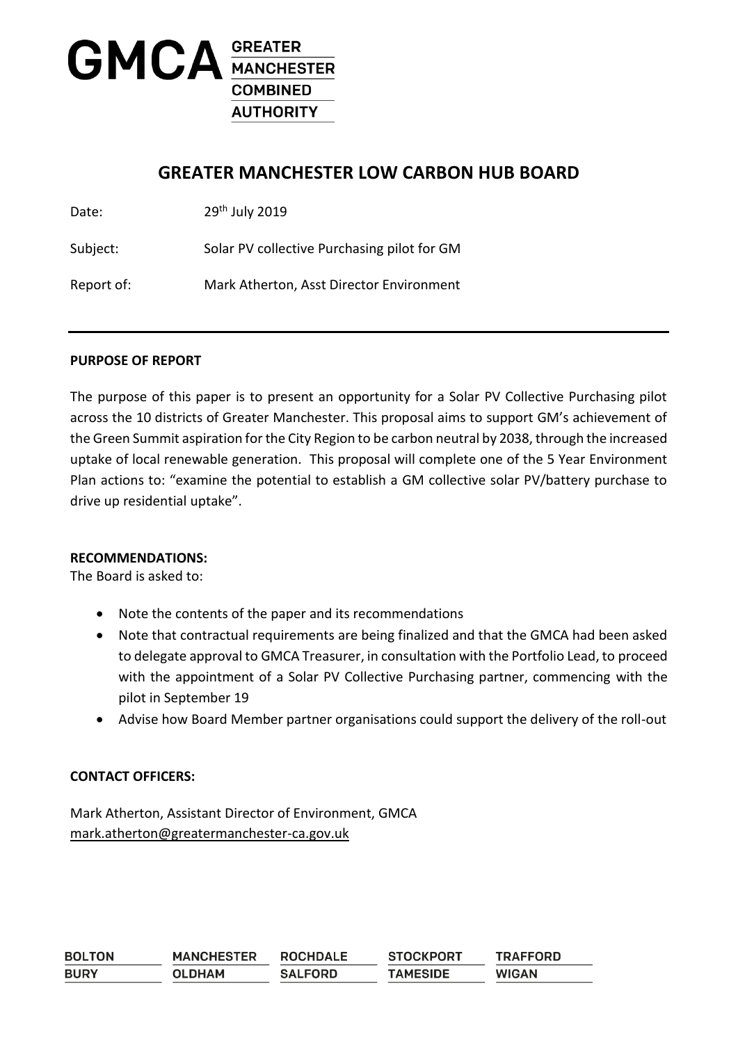

# **GREATER MANCHESTER LOW CARBON HUB BOARD**

Date: 29<sup>th</sup> July 2019

Subject: Solar PV collective Purchasing pilot for GM

Report of: Mark Atherton, Asst Director Environment

#### **PURPOSE OF REPORT**

The purpose of this paper is to present an opportunity for a Solar PV Collective Purchasing pilot across the 10 districts of Greater Manchester. This proposal aims to support GM's achievement of the Green Summit aspiration for the City Region to be carbon neutral by 2038, through the increased uptake of local renewable generation. This proposal will complete one of the 5 Year Environment Plan actions to: "examine the potential to establish a GM collective solar PV/battery purchase to drive up residential uptake".

#### **RECOMMENDATIONS:**

The Board is asked to:

- Note the contents of the paper and its recommendations
- Note that contractual requirements are being finalized and that the GMCA had been asked to delegate approval to GMCA Treasurer, in consultation with the Portfolio Lead, to proceed with the appointment of a Solar PV Collective Purchasing partner, commencing with the pilot in September 19
- Advise how Board Member partner organisations could support the delivery of the roll-out

#### **CONTACT OFFICERS:**

Mark Atherton, Assistant Director of Environment, GMCA [mark.atherton@greatermanchester-ca.gov.uk](mailto:mark.atherton@greatermanchester-ca.gov.uk)

| <b>BOLTON</b> | <b>MANCHESTER</b> | <b>ROCHDALE</b> | <b>STOCKPORT</b> | <b>TRAFFORD</b> |
|---------------|-------------------|-----------------|------------------|-----------------|
| <b>BURY</b>   | <b>OLDHAM</b>     | <b>SALFORD</b>  | <b>TAMESIDE</b>  | <b>WIGAN</b>    |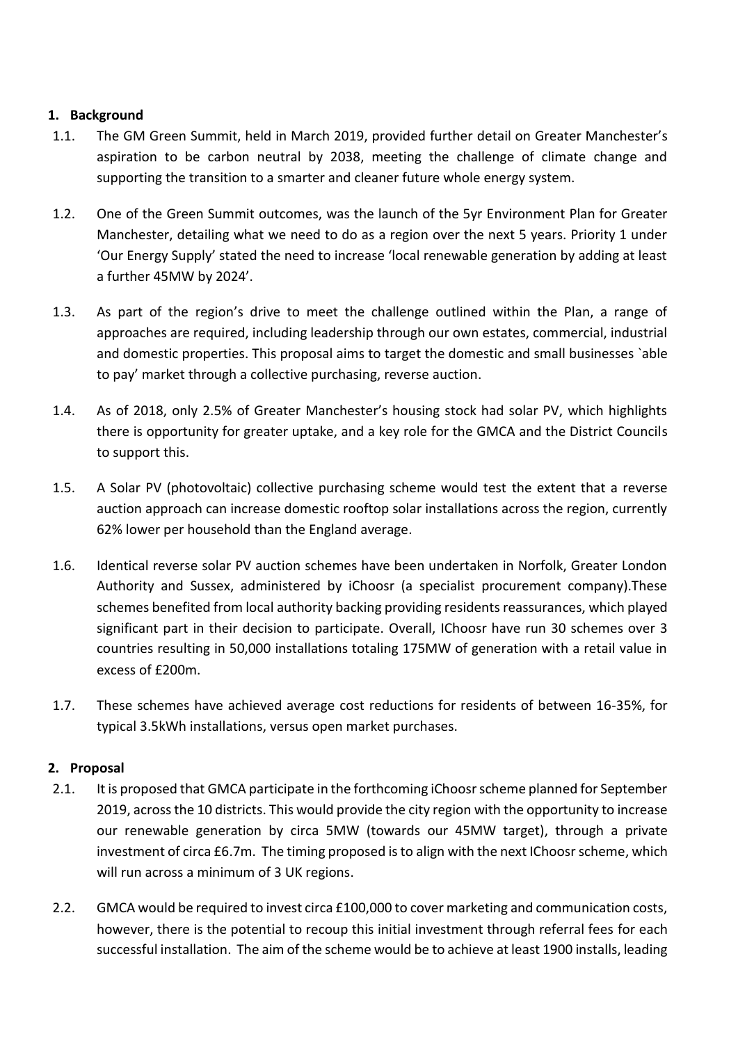### **1. Background**

- 1.1. The GM Green Summit, held in March 2019, provided further detail on Greater Manchester's aspiration to be carbon neutral by 2038, meeting the challenge of climate change and supporting the transition to a smarter and cleaner future whole energy system.
- 1.2. One of the Green Summit outcomes, was the launch of the 5yr Environment Plan for Greater Manchester, detailing what we need to do as a region over the next 5 years. Priority 1 under 'Our Energy Supply' stated the need to increase 'local renewable generation by adding at least a further 45MW by 2024'.
- 1.3. As part of the region's drive to meet the challenge outlined within the Plan, a range of approaches are required, including leadership through our own estates, commercial, industrial and domestic properties. This proposal aims to target the domestic and small businesses `able to pay' market through a collective purchasing, reverse auction.
- 1.4. As of 2018, only 2.5% of Greater Manchester's housing stock had solar PV, which highlights there is opportunity for greater uptake, and a key role for the GMCA and the District Councils to support this.
- 1.5. A Solar PV (photovoltaic) collective purchasing scheme would test the extent that a reverse auction approach can increase domestic rooftop solar installations across the region, currently 62% lower per household than the England average.
- 1.6. Identical reverse solar PV auction schemes have been undertaken in Norfolk, Greater London Authority and Sussex, administered by iChoosr (a specialist procurement company).These schemes benefited from local authority backing providing residents reassurances, which played significant part in their decision to participate. Overall, IChoosr have run 30 schemes over 3 countries resulting in 50,000 installations totaling 175MW of generation with a retail value in excess of £200m.
- 1.7. These schemes have achieved average cost reductions for residents of between 16-35%, for typical 3.5kWh installations, versus open market purchases.

# **2. Proposal**

- 2.1. It is proposed that GMCA participate in the forthcoming iChoosr scheme planned for September 2019, across the 10 districts. This would provide the city region with the opportunity to increase our renewable generation by circa 5MW (towards our 45MW target), through a private investment of circa £6.7m. The timing proposed is to align with the next IChoosr scheme, which will run across a minimum of 3 UK regions.
- 2.2. GMCA would be required to invest circa £100,000 to cover marketing and communication costs, however, there is the potential to recoup this initial investment through referral fees for each successful installation. The aim of the scheme would be to achieve at least 1900 installs, leading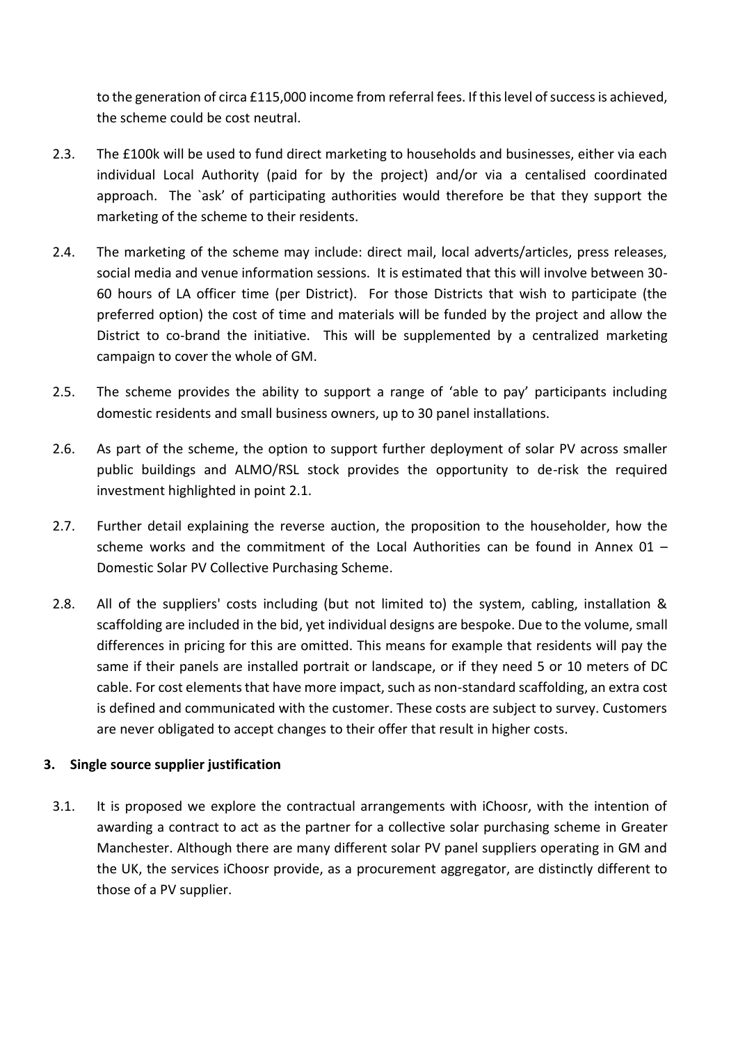to the generation of circa £115,000 income from referral fees. If this level of success is achieved, the scheme could be cost neutral.

- 2.3. The £100k will be used to fund direct marketing to households and businesses, either via each individual Local Authority (paid for by the project) and/or via a centalised coordinated approach. The `ask' of participating authorities would therefore be that they support the marketing of the scheme to their residents.
- 2.4. The marketing of the scheme may include: direct mail, local adverts/articles, press releases, social media and venue information sessions. It is estimated that this will involve between 30- 60 hours of LA officer time (per District). For those Districts that wish to participate (the preferred option) the cost of time and materials will be funded by the project and allow the District to co-brand the initiative. This will be supplemented by a centralized marketing campaign to cover the whole of GM.
- 2.5. The scheme provides the ability to support a range of 'able to pay' participants including domestic residents and small business owners, up to 30 panel installations.
- 2.6. As part of the scheme, the option to support further deployment of solar PV across smaller public buildings and ALMO/RSL stock provides the opportunity to de-risk the required investment highlighted in point 2.1.
- 2.7. Further detail explaining the reverse auction, the proposition to the householder, how the scheme works and the commitment of the Local Authorities can be found in Annex 01 – Domestic Solar PV Collective Purchasing Scheme.
- 2.8. All of the suppliers' costs including (but not limited to) the system, cabling, installation & scaffolding are included in the bid, yet individual designs are bespoke. Due to the volume, small differences in pricing for this are omitted. This means for example that residents will pay the same if their panels are installed portrait or landscape, or if they need 5 or 10 meters of DC cable. For cost elements that have more impact, such as non-standard scaffolding, an extra cost is defined and communicated with the customer. These costs are subject to survey. Customers are never obligated to accept changes to their offer that result in higher costs.

# **3. Single source supplier justification**

3.1. It is proposed we explore the contractual arrangements with iChoosr, with the intention of awarding a contract to act as the partner for a collective solar purchasing scheme in Greater Manchester. Although there are many different solar PV panel suppliers operating in GM and the UK, the services iChoosr provide, as a procurement aggregator, are distinctly different to those of a PV supplier.